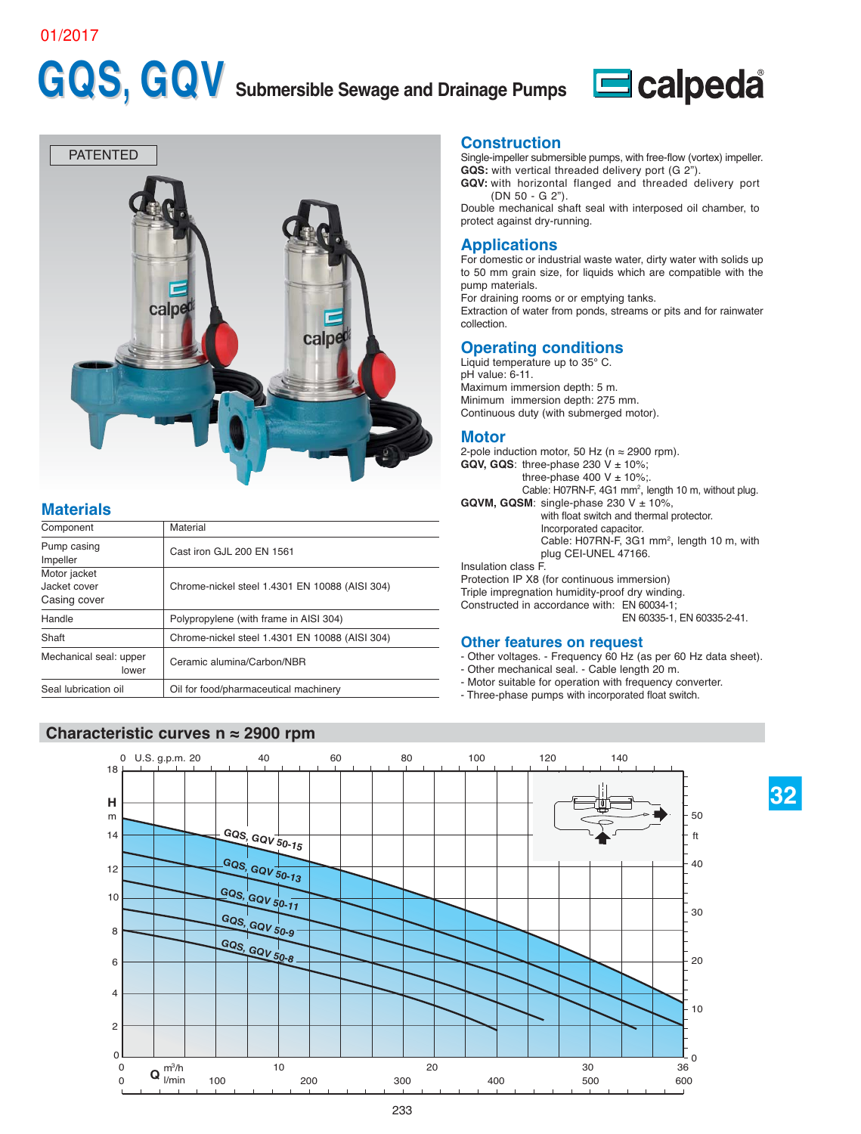#### 01/2017

# GQS, GQV Submersible Sewage and Drainage Pumps Ecalpeda





## **Materials**

| Component                                    | Material                                       |
|----------------------------------------------|------------------------------------------------|
| Pump casing<br>Impeller                      | Cast iron GJL 200 EN 1561                      |
| Motor jacket<br>Jacket cover<br>Casing cover | Chrome-nickel steel 1.4301 EN 10088 (AISI 304) |
| Handle                                       | Polypropylene (with frame in AISI 304)         |
| Shaft                                        | Chrome-nickel steel 1.4301 EN 10088 (AISI 304) |
| Mechanical seal: upper<br>lower              | Ceramic alumina/Carbon/NBR                     |
| Seal lubrication oil                         | Oil for food/pharmaceutical machinery          |

#### **Characteristic curves n ≈ 2900 rpm**

#### **Construction**

Single-impeller submersible pumps, with free-flow (vortex) impeller. **GQS:** with vertical threaded delivery port (G 2").

**GQV:** with horizontal flanged and threaded delivery port (DN 50 - G 2").

Double mechanical shaft seal with interposed oil chamber, to protect against dry-running.

#### **Applications**

For domestic or industrial waste water, dirty water with solids up to 50 mm grain size, for liquids which are compatible with the pump materials.

For draining rooms or or emptying tanks.

Extraction of water from ponds, streams or pits and for rainwater collection.

### **Operating conditions**

Liquid temperature up to 35° C. pH value: 6-11. Maximum immersion depth: 5 m. Minimum immersion depth: 275 mm. Continuous duty (with submerged motor).

#### **Motor**

2-pole induction motor, 50 Hz ( $n \approx 2900$  rpm). **GQV, GQS:** three-phase 230  $V \pm 10\%$ ; three-phase 400 V  $\pm$  10%; Cable: H07RN-F, 4G1 mm<sup>2</sup>, length 10 m, without plug. **GQVM, GQSM:** single-phase  $230 \text{ V} \pm 10\%$ , with float switch and thermal protector. Incorporated capacitor. Cable: H07RN-F, 3G1 mm<sup>2</sup>, length 10 m, with plug CEI-UNEL 47166. Insulation class F. Protection IP X8 (for continuous immersion) Triple impregnation humidity-proof dry winding. Constructed in accordance with: EN 60034-1; EN 60335-1, EN 60335-2-41.

#### **Other features on request**

- Other voltages. Frequency 60 Hz (as per 60 Hz data sheet).
- Other mechanical seal. Cable length 20 m.
- Motor suitable for operation with frequency converter.
- Three-phase pumps with incorporated float switch.

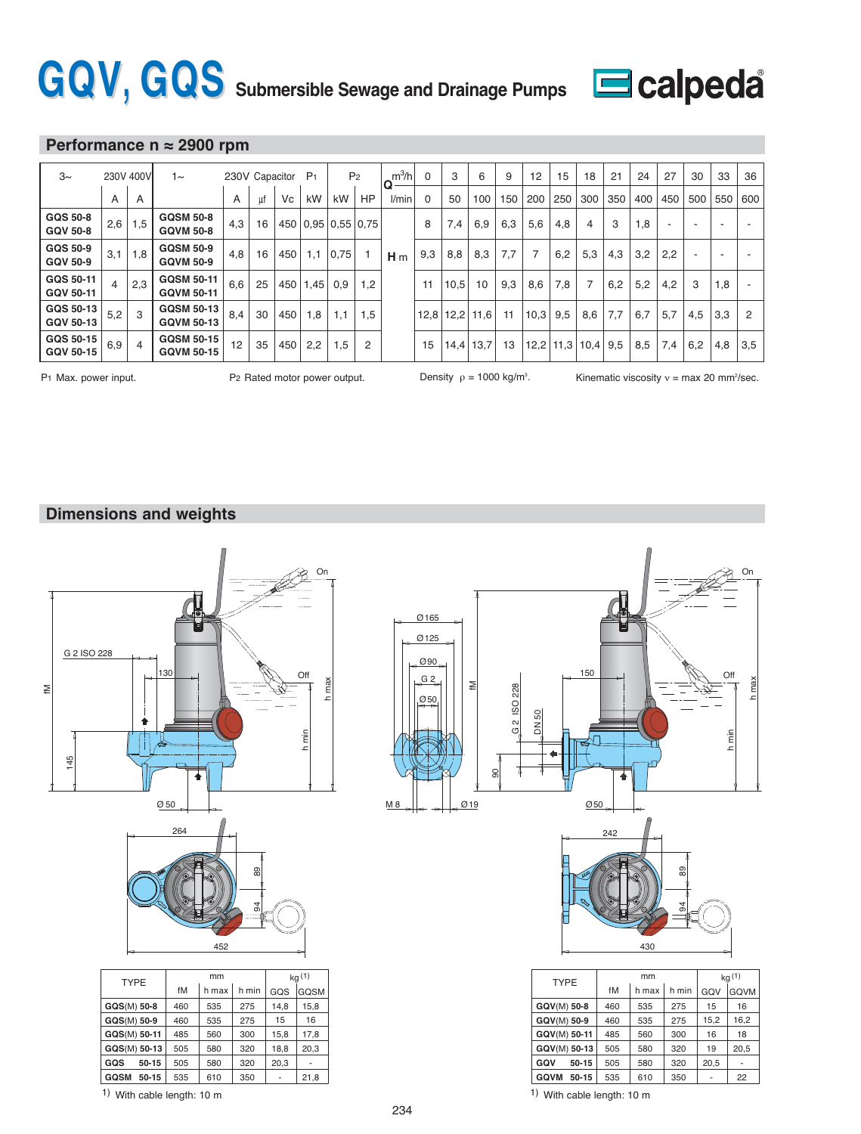# GQV, GQS Submersible Sewage and Drainage Pumps Ecalpeda



### **Performance n ≈ 2900 rpm**

| $3\sim$                            |     | 230V 400V      | 1∼                                     | 230V Capacitor |    |     | P <sub>1</sub>           |      | P <sub>2</sub> | $m^3/h$<br>O   | 0        | 3    | 6    | 9   | 12             | 15          | 18   | 21  | 24  | 27  | 30  | 33  | 36  |
|------------------------------------|-----|----------------|----------------------------------------|----------------|----|-----|--------------------------|------|----------------|----------------|----------|------|------|-----|----------------|-------------|------|-----|-----|-----|-----|-----|-----|
|                                    | A   | A              |                                        | A              | uf | Vc  | kW                       | kW   | HP             | l/min          | $\Omega$ | 50   | 100  | 150 | 200            | 250         | 300  | 350 | 400 | 450 | 500 | 550 | 600 |
| <b>GQS 50-8</b><br><b>GQV 50-8</b> | 2,6 | 1,5            | <b>GQSM 50-8</b><br><b>GQVM 50-8</b>   | 4,3            | 16 |     | 450   0.95   0.55   0.75 |      |                |                | 8        | 7,4  | 6,9  | 6,3 | 5,6            | 4,8         | 4    | 3   | 1,8 |     |     | ٠   |     |
| GQS 50-9<br><b>GQV 50-9</b>        | 3,1 | 1,8            | <b>GQSM 50-9</b><br><b>GQVM 50-9</b>   | 4,8            | 16 | 450 | 1,1                      | 0.75 |                | H <sub>m</sub> | 9,3      | 8,8  | 8,3  | 7,7 | $\overline{7}$ | 6,2         | 5,3  | 4,3 | 3,2 | 2,2 |     | -   |     |
| GQS 50-11<br>GQV 50-11             |     | 2,3            | <b>GQSM 50-11</b><br><b>GQVM 50-11</b> | 6,6            | 25 |     | 450 1.45                 | 0,9  | 1,2            |                | 11       | 10,5 | 10   | 9,3 | 8,6            | 7,8         |      | 6,2 | 5,2 | 4,2 | 3   | 1,8 |     |
| GQS 50-13<br>GQV 50-13             | 5,2 | 3              | <b>GQSM 50-13</b><br><b>GQVM 50-13</b> | 8,4            | 30 | 450 | 1,8                      | 1,1  | 1,5            |                | 12,8     | 12,2 | 11,6 | 11  | 10,3           | 9,5         | 8,6  | 7,7 | 6,7 | 5,7 | 4,5 | 3,3 | 2   |
| GQS 50-15<br><b>GQV 50-15</b>      | 6,9 | $\overline{4}$ | <b>GQSM 50-15</b><br><b>GQVM 50-15</b> | 12             | 35 | 450 | 2,2                      | 1,5  | $\overline{2}$ |                | 15       | 14.4 | 13,7 | 13  |                | $12,2$ 11,3 | 10,4 | 9,5 | 8,5 | 7,4 | 6,2 | 4,8 | 3,5 |

Density  $\rho = 1000$  kg/m<sup>3</sup>.

P1 Max. power input.  $P_2$  Rated motor power output. Density  $\rho = 1000$  kg/m<sup>3</sup>. Kinematic viscosity  $v = max 20$  mm<sup>2</sup>/sec.

### **Dimensions and weights**





|                          | <b>TYPE</b>          |     | mm    | kq(1) |      |             |
|--------------------------|----------------------|-----|-------|-------|------|-------------|
| GOSM                     |                      | fM  | h max | h min | GQV  | <b>GQVM</b> |
| 15,8                     | GQV(M) 50-8          | 460 | 535   | 275   | 15   | 16          |
| 16                       | GQV(M) 50-9          | 460 | 535   | 275   | 15,2 | 16,2        |
| 17,8                     | GQV(M) 50-11         | 485 | 560   | 300   | 16   | 18          |
| 20,3                     | GQV(M) 50-13         | 505 | 580   | 320   | 19   | 20,5        |
| $\overline{\phantom{a}}$ | GQV<br>50-15         | 505 | 580   | 320   | 20,5 |             |
| 21,8                     | <b>GQVM</b><br>50-15 | 535 | 610   | 350   | ۰    | 22          |

**GQSM** 50-15 535 610 350

-

1) With cable length:  $10 \text{ m}$  1) With cable length:  $10 \text{ m}$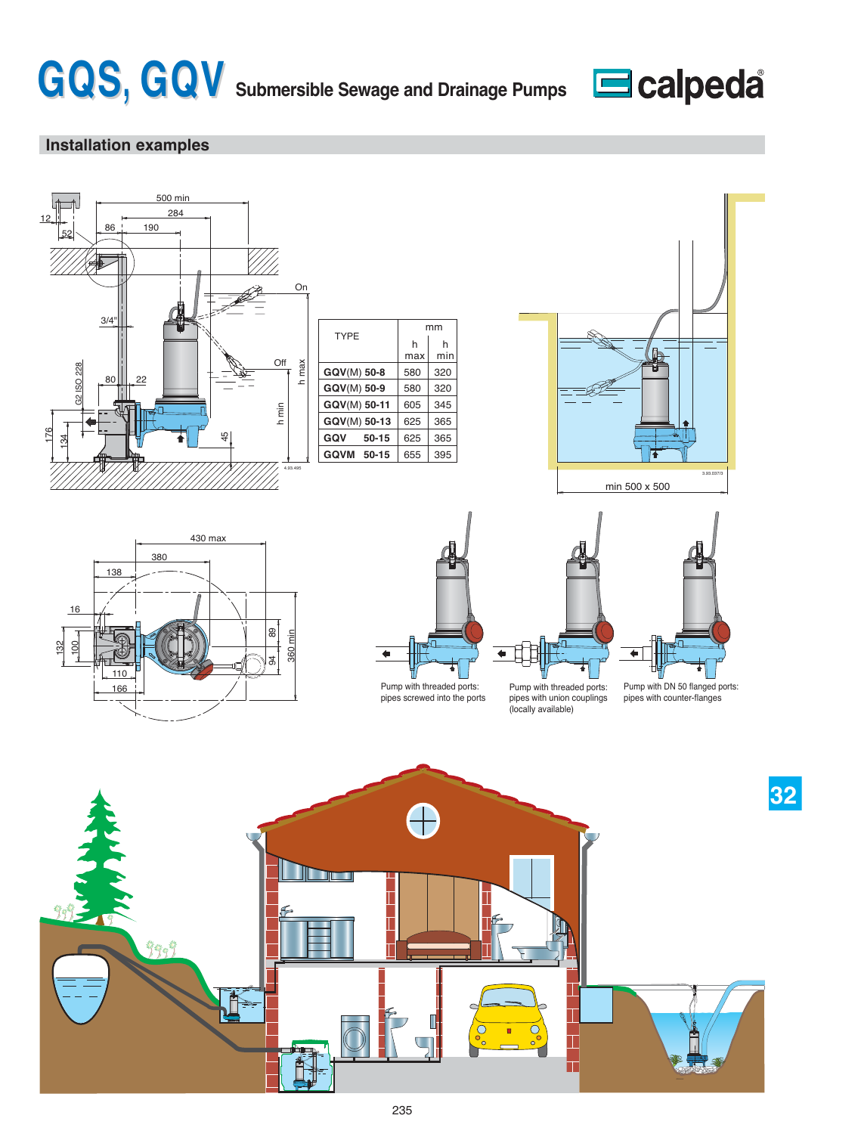



# **Installation examples**









mm

320 320

h min

pipes screwed into the ports

Pump with threaded ports: pipes with union couplings (locally available)

 $\overline{\phantom{a}}$